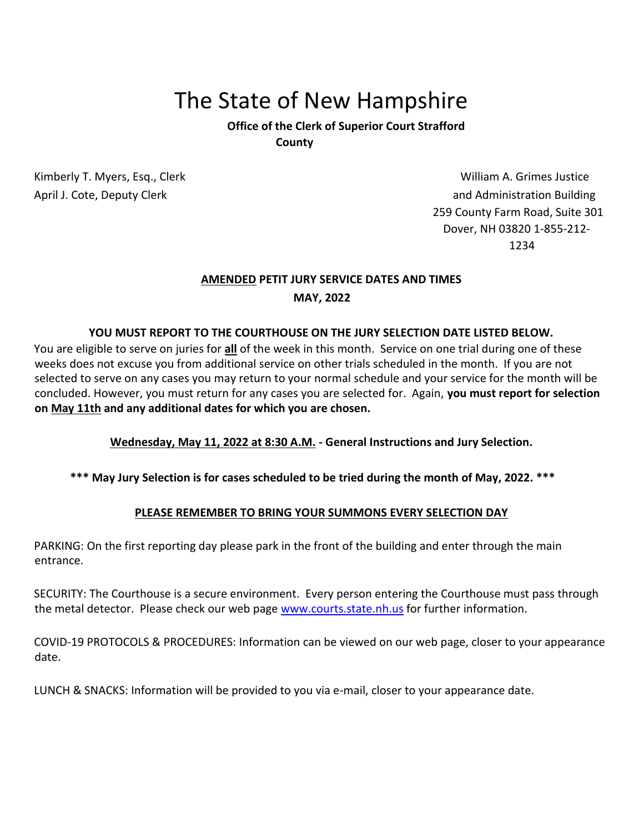# The State of New Hampshire

**Office of the Clerk of Superior Court Strafford County** 

Kimberly T. Myers, Esq., Clerk William A. Grimes Justice Numberly T. Myers, Esq., Clerk William A. Grimes Justice April J. Cote, Deputy Clerk and Administration Building 259 County Farm Road, Suite 301 Dover, NH 03820 1-855-212- 1234

## **AMENDED PETIT JURY SERVICE DATES AND TIMES MAY, 2022**

#### **YOU MUST REPORT TO THE COURTHOUSE ON THE JURY SELECTION DATE LISTED BELOW.**

You are eligible to serve on juries for **all** of the week in this month. Service on one trial during one of these weeks does not excuse you from additional service on other trials scheduled in the month. If you are not selected to serve on any cases you may return to your normal schedule and your service for the month will be concluded. However, you must return for any cases you are selected for. Again, **you must report for selection on May 11th and any additional dates for which you are chosen.** 

### **Wednesday, May 11, 2022 at 8:30 A.M. - General Instructions and Jury Selection.**

### **\*\*\* May Jury Selection is for cases scheduled to be tried during the month of May, 2022. \*\*\***

#### **PLEASE REMEMBER TO BRING YOUR SUMMONS EVERY SELECTION DAY**

PARKING: On the first reporting day please park in the front of the building and enter through the main entrance.

SECURITY: The Courthouse is a secure environment. Every person entering the Courthouse must pass through the metal detector. Please check our web page [www.courts.state.nh.us](http://www.courts.state.nh.us/) [for](http://www.courts.state.nh.us/) further information.

COVID-19 PROTOCOLS & PROCEDURES: Information can be viewed on our web page, closer to your appearance date.

LUNCH & SNACKS: Information will be provided to you via e-mail, closer to your appearance date.